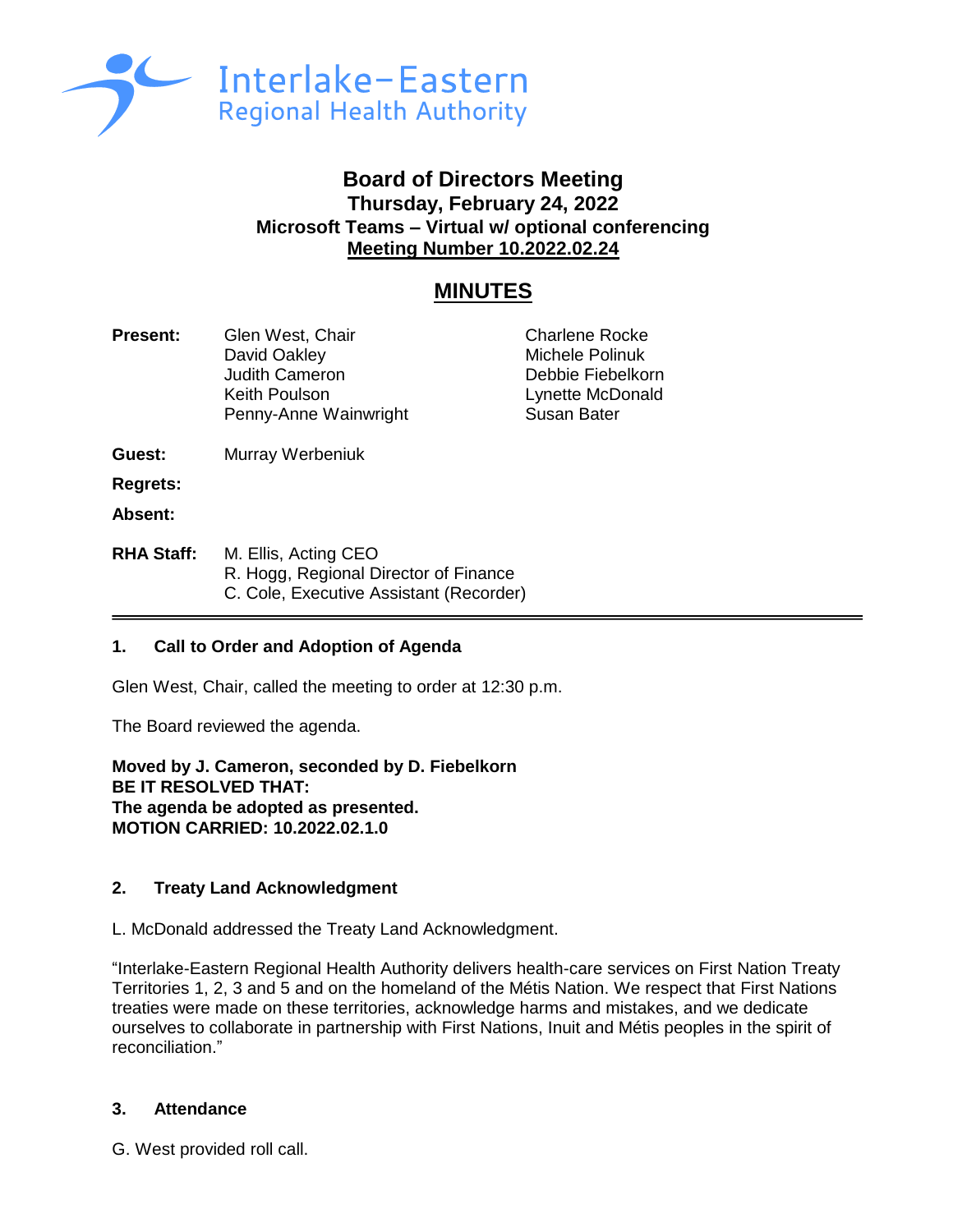

## **Board of Directors Meeting Thursday, February 24, 2022 Microsoft Teams – Virtual w/ optional conferencing Meeting Number 10.2022.02.24**

# **MINUTES**

| <b>Present:</b>                      | Glen West, Chair<br>David Oakley<br><b>Judith Cameron</b><br>Keith Poulson<br>Penny-Anne Wainwright | <b>Charlene Rocke</b><br>Michele Polinuk<br>Debbie Fiebelkorn<br>Lynette McDonald<br><b>Susan Bater</b> |
|--------------------------------------|-----------------------------------------------------------------------------------------------------|---------------------------------------------------------------------------------------------------------|
| Guest:<br><b>Regrets:</b><br>Absent: | Murray Werbeniuk                                                                                    |                                                                                                         |
| <b>RHA Staff:</b>                    | M. Ellis, Acting CEO<br>R. Hogg, Regional Director of Finance                                       |                                                                                                         |

C. Cole, Executive Assistant (Recorder)

## **1. Call to Order and Adoption of Agenda**

Glen West, Chair, called the meeting to order at 12:30 p.m.

The Board reviewed the agenda.

**Moved by J. Cameron, seconded by D. Fiebelkorn BE IT RESOLVED THAT: The agenda be adopted as presented. MOTION CARRIED: 10.2022.02.1.0**

## **2. Treaty Land Acknowledgment**

L. McDonald addressed the Treaty Land Acknowledgment.

"Interlake-Eastern Regional Health Authority delivers health-care services on First Nation Treaty Territories 1, 2, 3 and 5 and on the homeland of the Métis Nation. We respect that First Nations treaties were made on these territories, acknowledge harms and mistakes, and we dedicate ourselves to collaborate in partnership with First Nations, Inuit and Métis peoples in the spirit of reconciliation."

## **3. Attendance**

G. West provided roll call.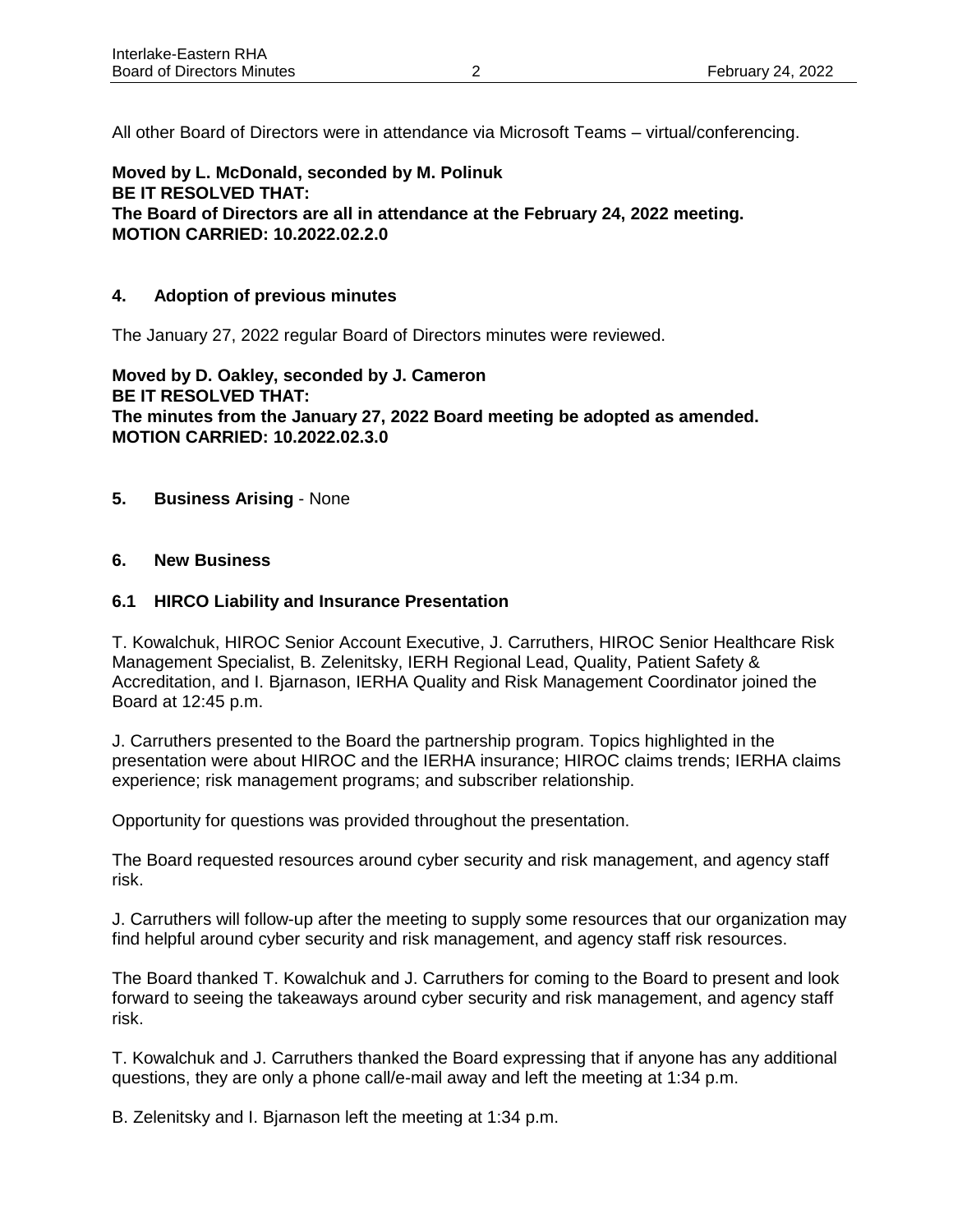All other Board of Directors were in attendance via Microsoft Teams – virtual/conferencing.

**Moved by L. McDonald, seconded by M. Polinuk BE IT RESOLVED THAT: The Board of Directors are all in attendance at the February 24, 2022 meeting. MOTION CARRIED: 10.2022.02.2.0**

#### **4. Adoption of previous minutes**

The January 27, 2022 regular Board of Directors minutes were reviewed.

**Moved by D. Oakley, seconded by J. Cameron BE IT RESOLVED THAT: The minutes from the January 27, 2022 Board meeting be adopted as amended. MOTION CARRIED: 10.2022.02.3.0**

- **5. Business Arising** None
- **6. New Business**

#### **6.1 HIRCO Liability and Insurance Presentation**

T. Kowalchuk, HIROC Senior Account Executive, J. Carruthers, HIROC Senior Healthcare Risk Management Specialist, B. Zelenitsky, IERH Regional Lead, Quality, Patient Safety & Accreditation, and I. Bjarnason, IERHA Quality and Risk Management Coordinator joined the Board at 12:45 p.m.

J. Carruthers presented to the Board the partnership program. Topics highlighted in the presentation were about HIROC and the IERHA insurance; HIROC claims trends; IERHA claims experience; risk management programs; and subscriber relationship.

Opportunity for questions was provided throughout the presentation.

The Board requested resources around cyber security and risk management, and agency staff risk.

J. Carruthers will follow-up after the meeting to supply some resources that our organization may find helpful around cyber security and risk management, and agency staff risk resources.

The Board thanked T. Kowalchuk and J. Carruthers for coming to the Board to present and look forward to seeing the takeaways around cyber security and risk management, and agency staff risk.

T. Kowalchuk and J. Carruthers thanked the Board expressing that if anyone has any additional questions, they are only a phone call/e-mail away and left the meeting at 1:34 p.m.

B. Zelenitsky and I. Bjarnason left the meeting at 1:34 p.m.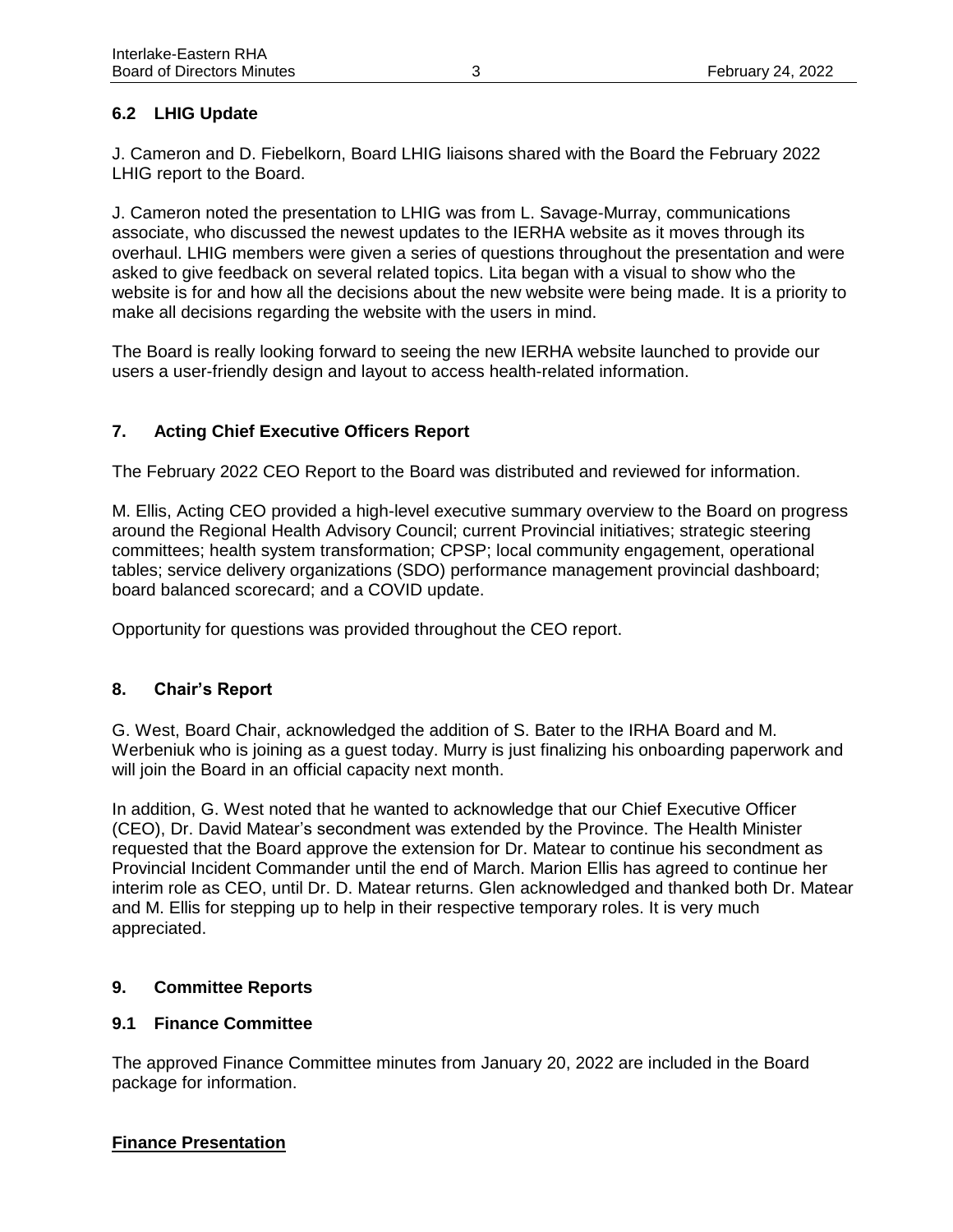## **6.2 LHIG Update**

J. Cameron and D. Fiebelkorn, Board LHIG liaisons shared with the Board the February 2022 LHIG report to the Board.

J. Cameron noted the presentation to LHIG was from L. Savage-Murray, communications associate, who discussed the newest updates to the IERHA website as it moves through its overhaul. LHIG members were given a series of questions throughout the presentation and were asked to give feedback on several related topics. Lita began with a visual to show who the website is for and how all the decisions about the new website were being made. It is a priority to make all decisions regarding the website with the users in mind.

The Board is really looking forward to seeing the new IERHA website launched to provide our users a user-friendly design and layout to access health-related information.

## **7. Acting Chief Executive Officers Report**

The February 2022 CEO Report to the Board was distributed and reviewed for information.

M. Ellis, Acting CEO provided a high-level executive summary overview to the Board on progress around the Regional Health Advisory Council; current Provincial initiatives; strategic steering committees; health system transformation; CPSP; local community engagement, operational tables; service delivery organizations (SDO) performance management provincial dashboard; board balanced scorecard; and a COVID update.

Opportunity for questions was provided throughout the CEO report.

## **8. Chair's Report**

G. West, Board Chair, acknowledged the addition of S. Bater to the IRHA Board and M. Werbeniuk who is joining as a guest today. Murry is just finalizing his onboarding paperwork and will join the Board in an official capacity next month.

In addition, G. West noted that he wanted to acknowledge that our Chief Executive Officer (CEO), Dr. David Matear's secondment was extended by the Province. The Health Minister requested that the Board approve the extension for Dr. Matear to continue his secondment as Provincial Incident Commander until the end of March. Marion Ellis has agreed to continue her interim role as CEO, until Dr. D. Matear returns. Glen acknowledged and thanked both Dr. Matear and M. Ellis for stepping up to help in their respective temporary roles. It is very much appreciated.

## **9. Committee Reports**

## **9.1 Finance Committee**

The approved Finance Committee minutes from January 20, 2022 are included in the Board package for information.

## **Finance Presentation**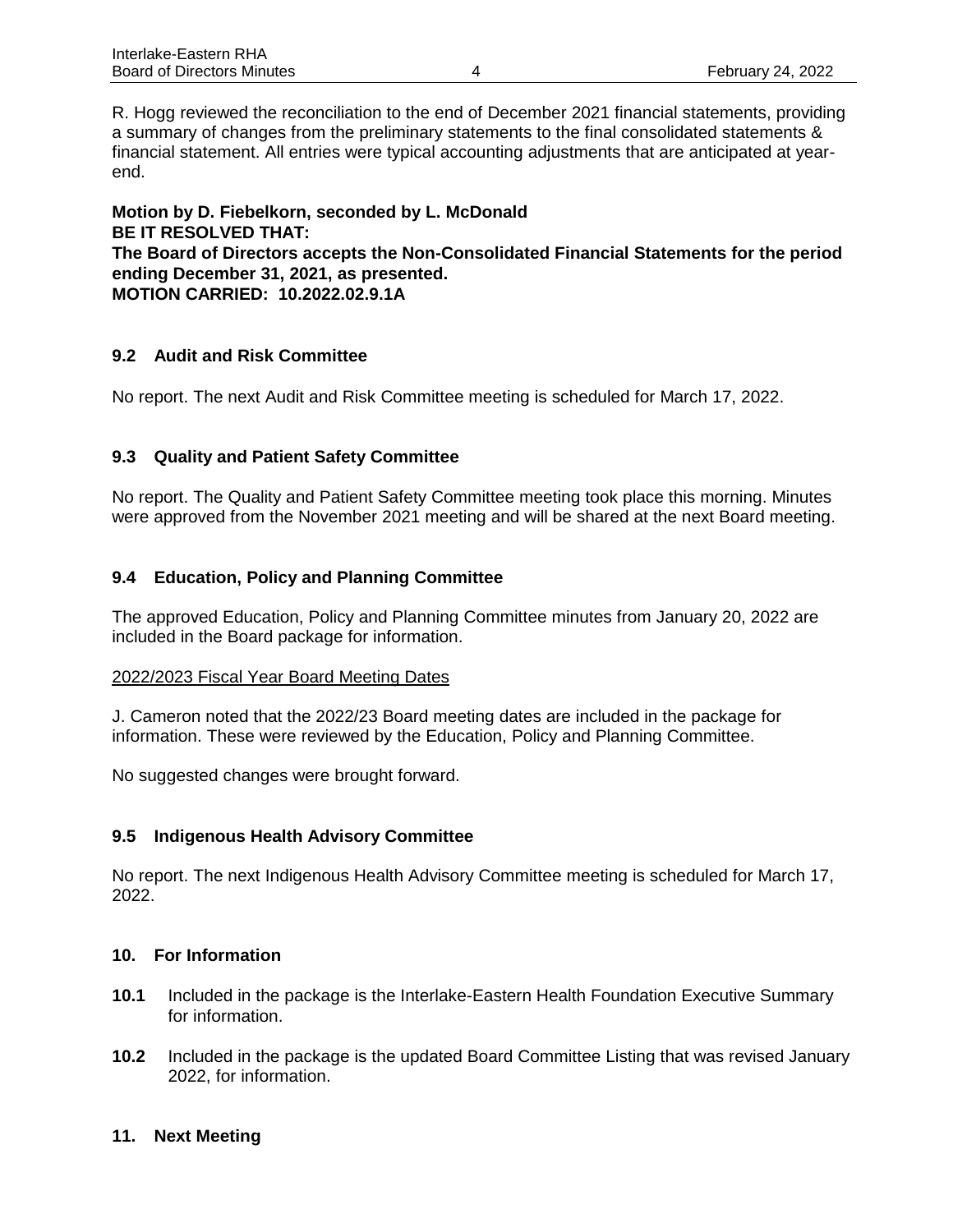R. Hogg reviewed the reconciliation to the end of December 2021 financial statements, providing a summary of changes from the preliminary statements to the final consolidated statements & financial statement. All entries were typical accounting adjustments that are anticipated at yearend.

**Motion by D. Fiebelkorn, seconded by L. McDonald BE IT RESOLVED THAT: The Board of Directors accepts the Non-Consolidated Financial Statements for the period ending December 31, 2021, as presented. MOTION CARRIED: 10.2022.02.9.1A**

#### **9.2 Audit and Risk Committee**

No report. The next Audit and Risk Committee meeting is scheduled for March 17, 2022.

#### **9.3 Quality and Patient Safety Committee**

No report. The Quality and Patient Safety Committee meeting took place this morning. Minutes were approved from the November 2021 meeting and will be shared at the next Board meeting.

#### **9.4 Education, Policy and Planning Committee**

The approved Education, Policy and Planning Committee minutes from January 20, 2022 are included in the Board package for information.

#### 2022/2023 Fiscal Year Board Meeting Dates

J. Cameron noted that the 2022/23 Board meeting dates are included in the package for information. These were reviewed by the Education, Policy and Planning Committee.

No suggested changes were brought forward.

#### **9.5 Indigenous Health Advisory Committee**

No report. The next Indigenous Health Advisory Committee meeting is scheduled for March 17, 2022.

#### **10. For Information**

- **10.1** Included in the package is the Interlake-Eastern Health Foundation Executive Summary for information.
- **10.2** Included in the package is the updated Board Committee Listing that was revised January 2022, for information.

#### **11. Next Meeting**